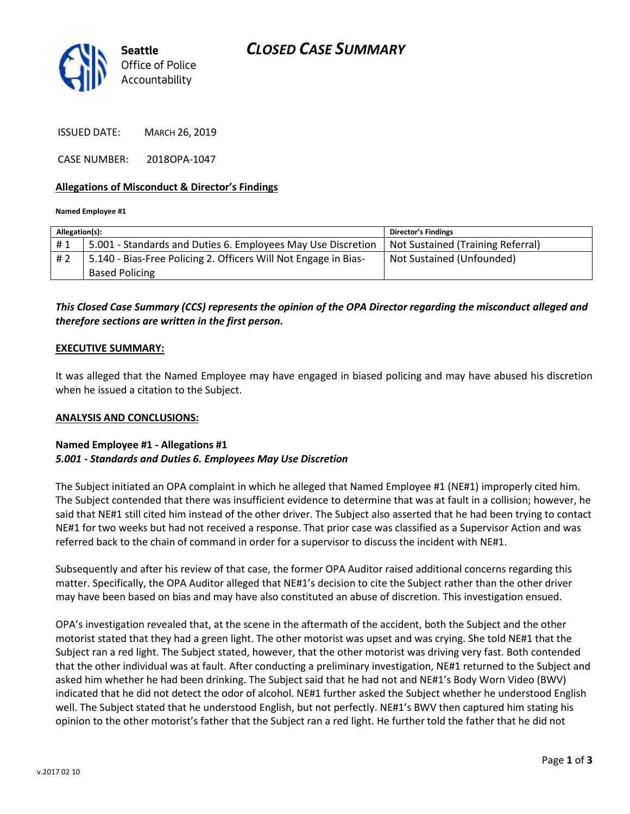



ISSUED DATE: MARCH 26, 2019

CASE NUMBER: 2018OPA-1047

#### **Allegations of Misconduct & Director's Findings**

#### **Named Employee #1**

| Allegation(s): |                                                                 | <b>Director's Findings</b>        |
|----------------|-----------------------------------------------------------------|-----------------------------------|
| #1             | 5.001 - Standards and Duties 6. Employees May Use Discretion    | Not Sustained (Training Referral) |
| #2             | 5.140 - Bias-Free Policing 2. Officers Will Not Engage in Bias- | Not Sustained (Unfounded)         |
|                | <b>Based Policing</b>                                           |                                   |
|                |                                                                 |                                   |

*This Closed Case Summary (CCS) represents the opinion of the OPA Director regarding the misconduct alleged and therefore sections are written in the first person.* 

#### **EXECUTIVE SUMMARY:**

It was alleged that the Named Employee may have engaged in biased policing and may have abused his discretion when he issued a citation to the Subject.

#### **ANALYSIS AND CONCLUSIONS:**

### **Named Employee #1 - Allegations #1** *5.001 - Standards and Duties 6. Employees May Use Discretion*

The Subject initiated an OPA complaint in which he alleged that Named Employee #1 (NE#1) improperly cited him. The Subject contended that there was insufficient evidence to determine that was at fault in a collision; however, he said that NE#1 still cited him instead of the other driver. The Subject also asserted that he had been trying to contact NE#1 for two weeks but had not received a response. That prior case was classified as a Supervisor Action and was referred back to the chain of command in order for a supervisor to discuss the incident with NE#1.

Subsequently and after his review of that case, the former OPA Auditor raised additional concerns regarding this matter. Specifically, the OPA Auditor alleged that NE#1's decision to cite the Subject rather than the other driver may have been based on bias and may have also constituted an abuse of discretion. This investigation ensued.

OPA's investigation revealed that, at the scene in the aftermath of the accident, both the Subject and the other motorist stated that they had a green light. The other motorist was upset and was crying. She told NE#1 that the Subject ran a red light. The Subject stated, however, that the other motorist was driving very fast. Both contended that the other individual was at fault. After conducting a preliminary investigation, NE#1 returned to the Subject and asked him whether he had been drinking. The Subject said that he had not and NE#1's Body Worn Video (BWV) indicated that he did not detect the odor of alcohol. NE#1 further asked the Subject whether he understood English well. The Subject stated that he understood English, but not perfectly. NE#1's BWV then captured him stating his opinion to the other motorist's father that the Subject ran a red light. He further told the father that he did not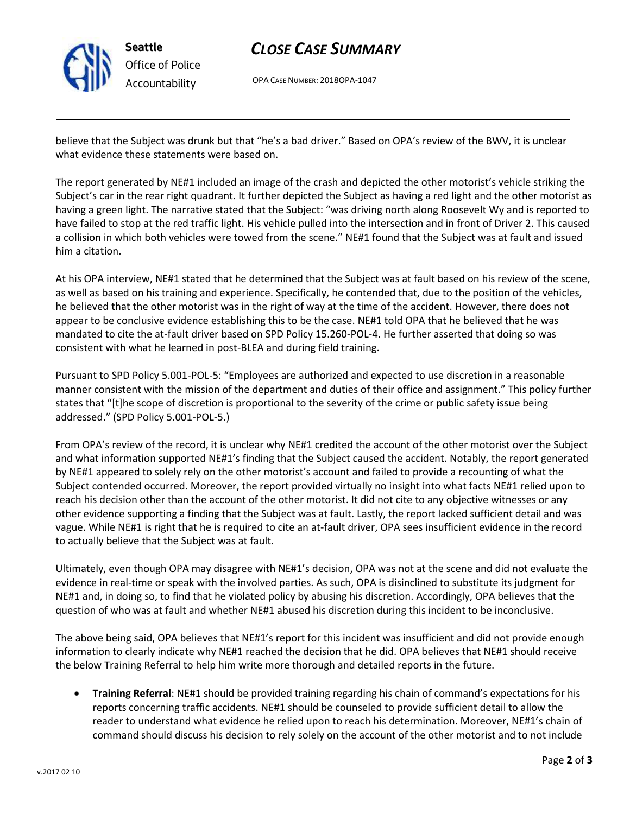

# *CLOSE CASE SUMMARY*

OPA CASE NUMBER: 2018OPA-1047

believe that the Subject was drunk but that "he's a bad driver." Based on OPA's review of the BWV, it is unclear what evidence these statements were based on.

The report generated by NE#1 included an image of the crash and depicted the other motorist's vehicle striking the Subject's car in the rear right quadrant. It further depicted the Subject as having a red light and the other motorist as having a green light. The narrative stated that the Subject: "was driving north along Roosevelt Wy and is reported to have failed to stop at the red traffic light. His vehicle pulled into the intersection and in front of Driver 2. This caused a collision in which both vehicles were towed from the scene." NE#1 found that the Subject was at fault and issued him a citation.

At his OPA interview, NE#1 stated that he determined that the Subject was at fault based on his review of the scene, as well as based on his training and experience. Specifically, he contended that, due to the position of the vehicles, he believed that the other motorist was in the right of way at the time of the accident. However, there does not appear to be conclusive evidence establishing this to be the case. NE#1 told OPA that he believed that he was mandated to cite the at-fault driver based on SPD Policy 15.260-POL-4. He further asserted that doing so was consistent with what he learned in post-BLEA and during field training.

Pursuant to SPD Policy 5.001-POL-5: "Employees are authorized and expected to use discretion in a reasonable manner consistent with the mission of the department and duties of their office and assignment." This policy further states that "[t]he scope of discretion is proportional to the severity of the crime or public safety issue being addressed." (SPD Policy 5.001-POL-5.)

From OPA's review of the record, it is unclear why NE#1 credited the account of the other motorist over the Subject and what information supported NE#1's finding that the Subject caused the accident. Notably, the report generated by NE#1 appeared to solely rely on the other motorist's account and failed to provide a recounting of what the Subject contended occurred. Moreover, the report provided virtually no insight into what facts NE#1 relied upon to reach his decision other than the account of the other motorist. It did not cite to any objective witnesses or any other evidence supporting a finding that the Subject was at fault. Lastly, the report lacked sufficient detail and was vague. While NE#1 is right that he is required to cite an at-fault driver, OPA sees insufficient evidence in the record to actually believe that the Subject was at fault.

Ultimately, even though OPA may disagree with NE#1's decision, OPA was not at the scene and did not evaluate the evidence in real-time or speak with the involved parties. As such, OPA is disinclined to substitute its judgment for NE#1 and, in doing so, to find that he violated policy by abusing his discretion. Accordingly, OPA believes that the question of who was at fault and whether NE#1 abused his discretion during this incident to be inconclusive.

The above being said, OPA believes that NE#1's report for this incident was insufficient and did not provide enough information to clearly indicate why NE#1 reached the decision that he did. OPA believes that NE#1 should receive the below Training Referral to help him write more thorough and detailed reports in the future.

• **Training Referral**: NE#1 should be provided training regarding his chain of command's expectations for his reports concerning traffic accidents. NE#1 should be counseled to provide sufficient detail to allow the reader to understand what evidence he relied upon to reach his determination. Moreover, NE#1's chain of command should discuss his decision to rely solely on the account of the other motorist and to not include